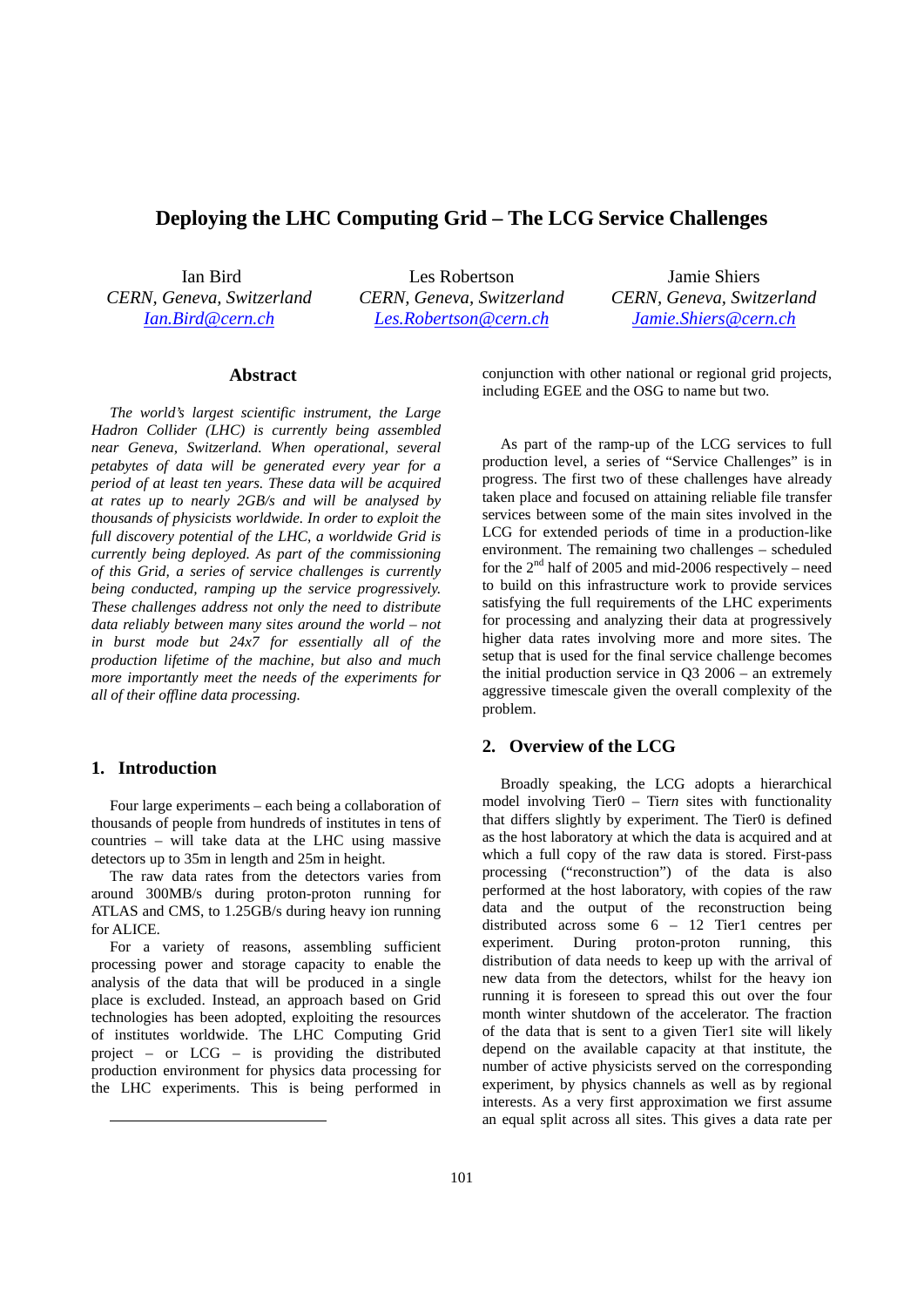# **Deploying the LHC Computing Grid – The LCG Service Challenges**

Ian Bird *CERN, Geneva, Switzerland Ian.Bird@cern.ch*

Les Robertson *CERN, Geneva, Switzerland Les.Robertson@cern.ch*

Jamie Shiers *CERN, Geneva, Switzerland Jamie.Shiers@cern.ch*

### **Abstract\***

*The world's largest scientific instrument, the Large Hadron Collider (LHC) is currently being assembled near Geneva, Switzerland. When operational, several petabytes of data will be generated every year for a period of at least ten years. These data will be acquired at rates up to nearly 2GB/s and will be analysed by thousands of physicists worldwide. In order to exploit the full discovery potential of the LHC, a worldwide Grid is currently being deployed. As part of the commissioning of this Grid, a series of service challenges is currently being conducted, ramping up the service progressively. These challenges address not only the need to distribute data reliably between many sites around the world – not in burst mode but 24x7 for essentially all of the production lifetime of the machine, but also and much more importantly meet the needs of the experiments for all of their offline data processing.* 

## **1. Introduction**

.

Four large experiments – each being a collaboration of thousands of people from hundreds of institutes in tens of countries – will take data at the LHC using massive detectors up to 35m in length and 25m in height.

The raw data rates from the detectors varies from around 300MB/s during proton-proton running for ATLAS and CMS, to 1.25GB/s during heavy ion running for ALICE.

For a variety of reasons, assembling sufficient processing power and storage capacity to enable the analysis of the data that will be produced in a single place is excluded. Instead, an approach based on Grid technologies has been adopted, exploiting the resources of institutes worldwide. The LHC Computing Grid project – or LCG – is providing the distributed production environment for physics data processing for the LHC experiments. This is being performed in conjunction with other national or regional grid projects, including EGEE and the OSG to name but two.

As part of the ramp-up of the LCG services to full production level, a series of "Service Challenges" is in progress. The first two of these challenges have already taken place and focused on attaining reliable file transfer services between some of the main sites involved in the LCG for extended periods of time in a production-like environment. The remaining two challenges – scheduled for the  $2<sup>nd</sup>$  half of 2005 and mid-2006 respectively – need to build on this infrastructure work to provide services satisfying the full requirements of the LHC experiments for processing and analyzing their data at progressively higher data rates involving more and more sites. The setup that is used for the final service challenge becomes the initial production service in Q3 2006 – an extremely aggressive timescale given the overall complexity of the problem.

## **2. Overview of the LCG**

Broadly speaking, the LCG adopts a hierarchical model involving Tier0 – Tier*n* sites with functionality that differs slightly by experiment. The Tier0 is defined as the host laboratory at which the data is acquired and at which a full copy of the raw data is stored. First-pass processing ("reconstruction") of the data is also performed at the host laboratory, with copies of the raw data and the output of the reconstruction being distributed across some 6 – 12 Tier1 centres per experiment. During proton-proton running, this distribution of data needs to keep up with the arrival of new data from the detectors, whilst for the heavy ion running it is foreseen to spread this out over the four month winter shutdown of the accelerator. The fraction of the data that is sent to a given Tier1 site will likely depend on the available capacity at that institute, the number of active physicists served on the corresponding experiment, by physics channels as well as by regional interests. As a very first approximation we first assume an equal split across all sites. This gives a data rate per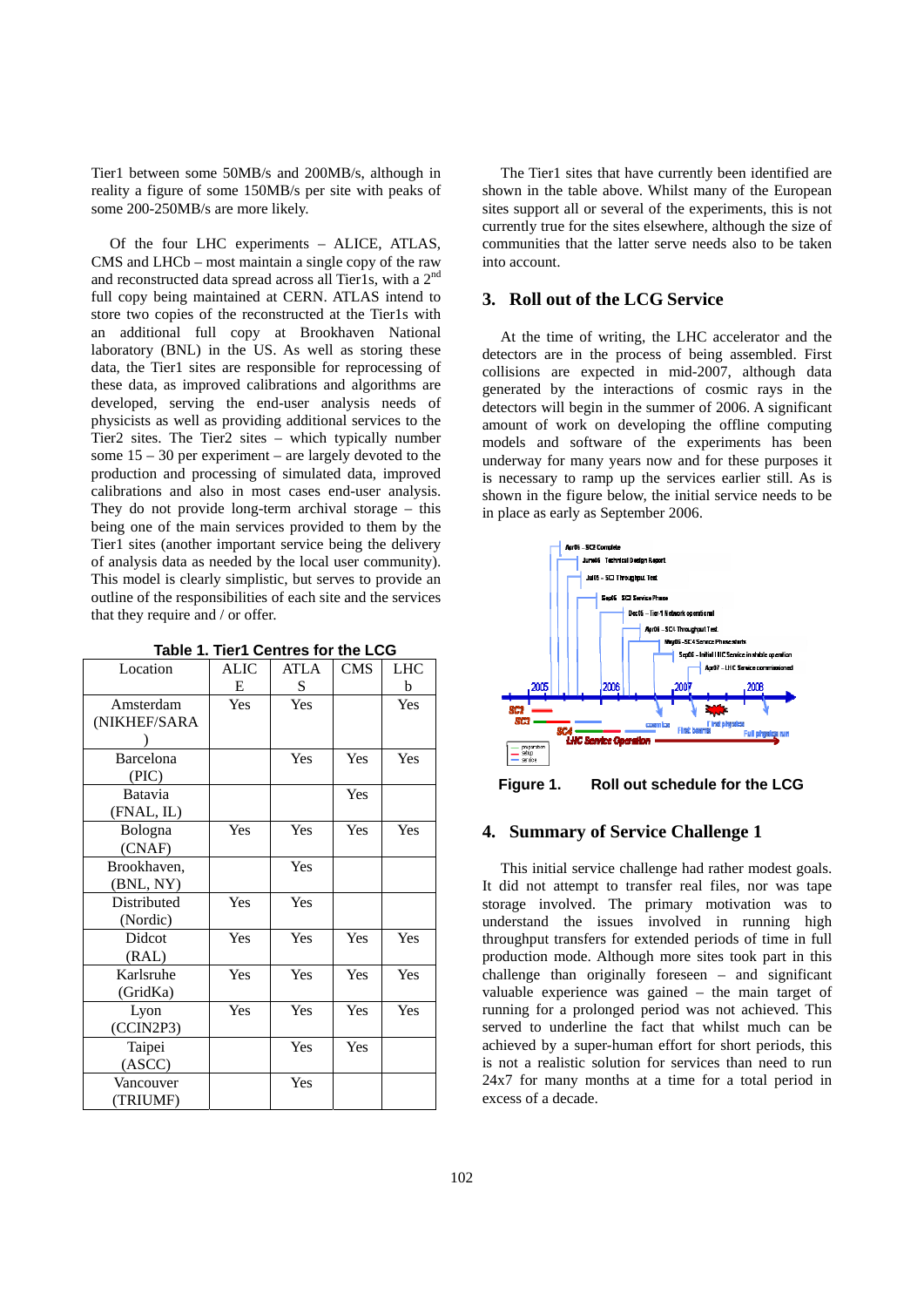Tier1 between some 50MB/s and 200MB/s, although in reality a figure of some 150MB/s per site with peaks of some 200-250MB/s are more likely.

Of the four LHC experiments – ALICE, ATLAS, CMS and LHCb – most maintain a single copy of the raw and reconstructed data spread across all Tier1s, with a 2<sup>nd</sup> full copy being maintained at CERN. ATLAS intend to store two copies of the reconstructed at the Tier1s with an additional full copy at Brookhaven National laboratory (BNL) in the US. As well as storing these data, the Tier1 sites are responsible for reprocessing of these data, as improved calibrations and algorithms are developed, serving the end-user analysis needs of physicists as well as providing additional services to the Tier2 sites. The Tier2 sites – which typically number some 15 – 30 per experiment – are largely devoted to the production and processing of simulated data, improved calibrations and also in most cases end-user analysis. They do not provide long-term archival storage – this being one of the main services provided to them by the Tier1 sites (another important service being the delivery of analysis data as needed by the local user community). This model is clearly simplistic, but serves to provide an outline of the responsibilities of each site and the services that they require and / or offer.

| Location     | <b>ALIC</b> | <b>ATLA</b> | <b>CMS</b> | <b>LHC</b> |
|--------------|-------------|-------------|------------|------------|
|              | E           | ${\bf S}$   |            | b          |
| Amsterdam    | Yes         | Yes         |            | Yes        |
| (NIKHEF/SARA |             |             |            |            |
|              |             |             |            |            |
| Barcelona    |             | Yes         | Yes        | Yes        |
| (PIC)        |             |             |            |            |
| Batavia      |             |             | Yes        |            |
| (FNAL, IL)   |             |             |            |            |
| Bologna      | Yes         | Yes         | Yes        | Yes        |
| (CNAF)       |             |             |            |            |
| Brookhaven,  |             | Yes         |            |            |
| (BNL, NY)    |             |             |            |            |
| Distributed  | Yes         | Yes         |            |            |
| (Nordic)     |             |             |            |            |
| Didcot       | Yes         | Yes         | Yes        | Yes        |
| (RAL)        |             |             |            |            |
| Karlsruhe    | Yes         | Yes         | Yes        | Yes        |
| (GridKa)     |             |             |            |            |
| Lyon         | Yes         | Yes         | Yes        | Yes        |
| (CCIN2P3)    |             |             |            |            |
| Taipei       |             | Yes         | Yes        |            |
| (ASCC)       |             |             |            |            |
| Vancouver    |             | Yes         |            |            |
| (TRIUMF)     |             |             |            |            |

**Table 1. Tier1 Centres for the LCG** 

The Tier1 sites that have currently been identified are shown in the table above. Whilst many of the European sites support all or several of the experiments, this is not currently true for the sites elsewhere, although the size of communities that the latter serve needs also to be taken into account.

## **3. Roll out of the LCG Service**

At the time of writing, the LHC accelerator and the detectors are in the process of being assembled. First collisions are expected in mid-2007, although data generated by the interactions of cosmic rays in the detectors will begin in the summer of 2006. A significant amount of work on developing the offline computing models and software of the experiments has been underway for many years now and for these purposes it is necessary to ramp up the services earlier still. As is shown in the figure below, the initial service needs to be in place as early as September 2006.



**Figure 1. Roll out schedule for the LCG** 

### **4. Summary of Service Challenge 1**

This initial service challenge had rather modest goals. It did not attempt to transfer real files, nor was tape storage involved. The primary motivation was to understand the issues involved in running high throughput transfers for extended periods of time in full production mode. Although more sites took part in this challenge than originally foreseen – and significant valuable experience was gained – the main target of running for a prolonged period was not achieved. This served to underline the fact that whilst much can be achieved by a super-human effort for short periods, this is not a realistic solution for services than need to run 24x7 for many months at a time for a total period in excess of a decade.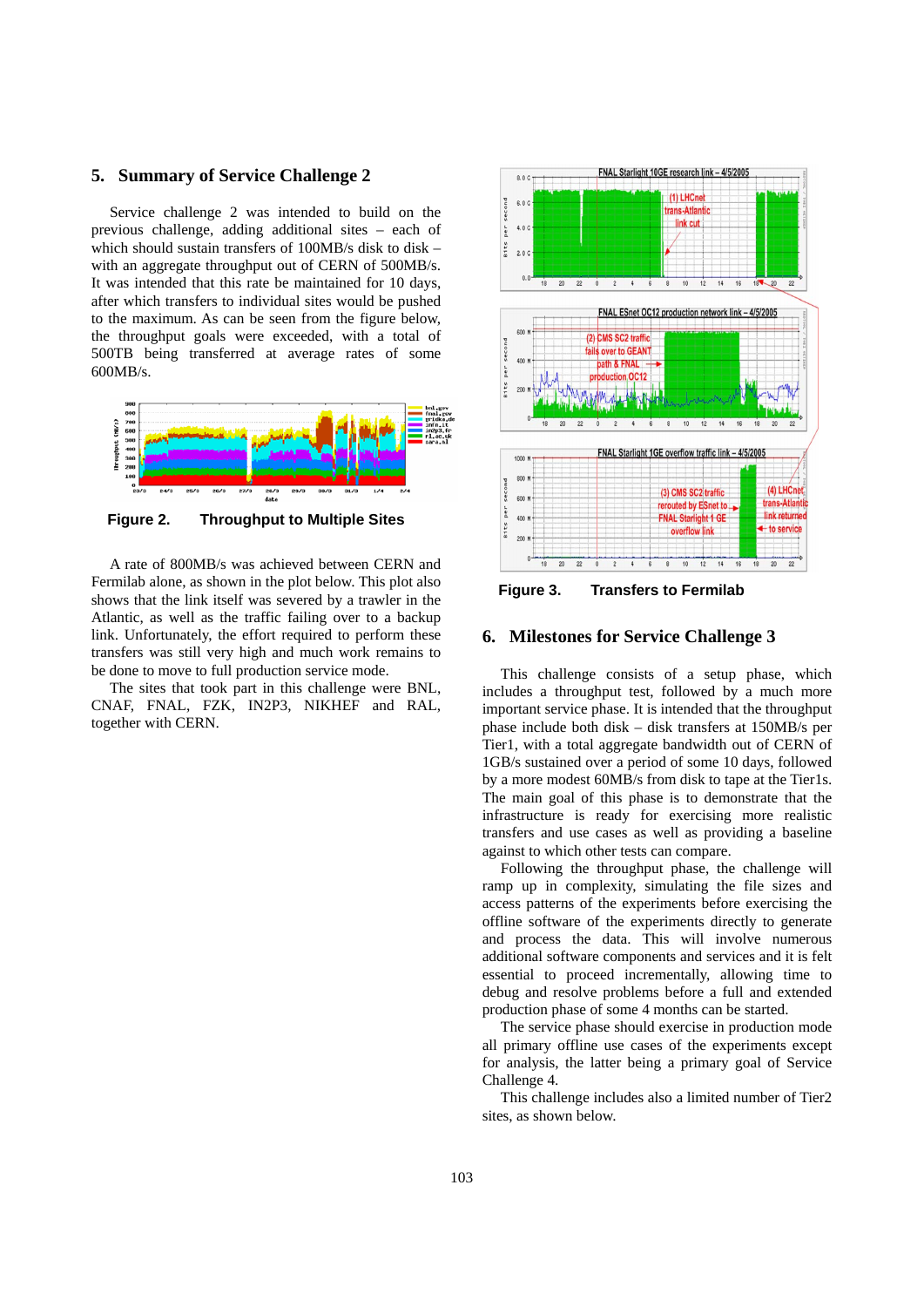#### **5. Summary of Service Challenge 2**

Service challenge 2 was intended to build on the previous challenge, adding additional sites – each of which should sustain transfers of 100MB/s disk to disk – with an aggregate throughput out of CERN of 500MB/s. It was intended that this rate be maintained for 10 days, after which transfers to individual sites would be pushed to the maximum. As can be seen from the figure below, the throughput goals were exceeded, with a total of 500TB being transferred at average rates of some 600MB/s.



**Figure 2. Throughput to Multiple Sites** 

A rate of 800MB/s was achieved between CERN and Fermilab alone, as shown in the plot below. This plot also shows that the link itself was severed by a trawler in the Atlantic, as well as the traffic failing over to a backup link. Unfortunately, the effort required to perform these transfers was still very high and much work remains to be done to move to full production service mode.

The sites that took part in this challenge were BNL, CNAF, FNAL, FZK, IN2P3, NIKHEF and RAL, together with CERN.



**Figure 3. Transfers to Fermilab** 

## **6. Milestones for Service Challenge 3**

This challenge consists of a setup phase, which includes a throughput test, followed by a much more important service phase. It is intended that the throughput phase include both disk – disk transfers at 150MB/s per Tier1, with a total aggregate bandwidth out of CERN of 1GB/s sustained over a period of some 10 days, followed by a more modest 60MB/s from disk to tape at the Tier1s. The main goal of this phase is to demonstrate that the infrastructure is ready for exercising more realistic transfers and use cases as well as providing a baseline against to which other tests can compare.

Following the throughput phase, the challenge will ramp up in complexity, simulating the file sizes and access patterns of the experiments before exercising the offline software of the experiments directly to generate and process the data. This will involve numerous additional software components and services and it is felt essential to proceed incrementally, allowing time to debug and resolve problems before a full and extended production phase of some 4 months can be started.

The service phase should exercise in production mode all primary offline use cases of the experiments except for analysis, the latter being a primary goal of Service Challenge 4.

This challenge includes also a limited number of Tier2 sites, as shown below.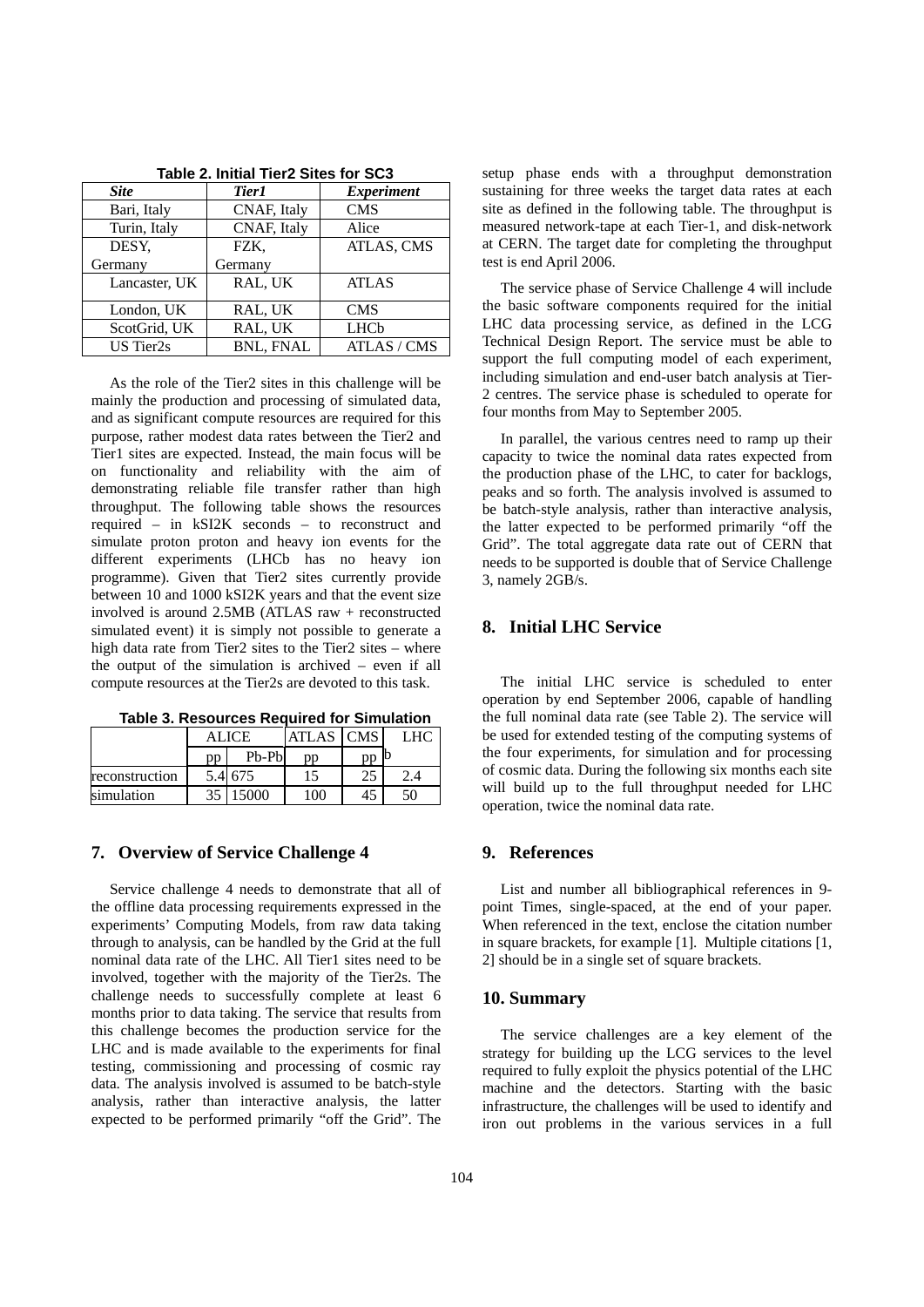| <b>Site</b>      | Tier1            | <b>Experiment</b> |  |  |
|------------------|------------------|-------------------|--|--|
| Bari, Italy      | CNAF, Italy      | <b>CMS</b>        |  |  |
| Turin, Italy     | CNAF, Italy      | Alice             |  |  |
| DESY,            | FZK.             | ATLAS, CMS        |  |  |
| Germany          | Germany          |                   |  |  |
| Lancaster, UK    | RAL, UK          | <b>ATLAS</b>      |  |  |
| London, UK       | RAL, UK          | <b>CMS</b>        |  |  |
| ScotGrid, UK     | RAL, UK          | <b>LHCb</b>       |  |  |
| <b>US</b> Tier2s | <b>BNL, FNAL</b> | ATLAS / CMS       |  |  |

**Table 2. Initial Tier2 Sites for SC3** 

As the role of the Tier2 sites in this challenge will be mainly the production and processing of simulated data, and as significant compute resources are required for this purpose, rather modest data rates between the Tier2 and Tier1 sites are expected. Instead, the main focus will be on functionality and reliability with the aim of demonstrating reliable file transfer rather than high throughput. The following table shows the resources required – in kSI2K seconds – to reconstruct and simulate proton proton and heavy ion events for the different experiments (LHCb has no heavy ion programme). Given that Tier2 sites currently provide between 10 and 1000 kSI2K years and that the event size involved is around 2.5MB (ATLAS raw + reconstructed simulated event) it is simply not possible to generate a high data rate from Tier2 sites to the Tier2 sites – where the output of the simulation is archived – even if all compute resources at the Tier2s are devoted to this task.

**Table 3. Resources Required for Simulation** 

|                | ALICE |         | ATLAS CMS | ÆС |
|----------------|-------|---------|-----------|----|
|                | pp    | $Pb-Pb$ | pp        |    |
| reconstruction |       | 5.4 675 |           |    |
| simulation     | 35    | 15000   | 00        |    |

#### **7. Overview of Service Challenge 4**

Service challenge 4 needs to demonstrate that all of the offline data processing requirements expressed in the experiments' Computing Models, from raw data taking through to analysis, can be handled by the Grid at the full nominal data rate of the LHC. All Tier1 sites need to be involved, together with the majority of the Tier2s. The challenge needs to successfully complete at least 6 months prior to data taking. The service that results from this challenge becomes the production service for the LHC and is made available to the experiments for final testing, commissioning and processing of cosmic ray data. The analysis involved is assumed to be batch-style analysis, rather than interactive analysis, the latter expected to be performed primarily "off the Grid". The

setup phase ends with a throughput demonstration sustaining for three weeks the target data rates at each site as defined in the following table. The throughput is measured network-tape at each Tier-1, and disk-network at CERN. The target date for completing the throughput test is end April 2006.

The service phase of Service Challenge 4 will include the basic software components required for the initial LHC data processing service, as defined in the LCG Technical Design Report. The service must be able to support the full computing model of each experiment, including simulation and end-user batch analysis at Tier-2 centres. The service phase is scheduled to operate for four months from May to September 2005.

In parallel, the various centres need to ramp up their capacity to twice the nominal data rates expected from the production phase of the LHC, to cater for backlogs, peaks and so forth. The analysis involved is assumed to be batch-style analysis, rather than interactive analysis, the latter expected to be performed primarily "off the Grid". The total aggregate data rate out of CERN that needs to be supported is double that of Service Challenge 3, namely 2GB/s.

### **8. Initial LHC Service**

The initial LHC service is scheduled to enter operation by end September 2006, capable of handling the full nominal data rate (see Table 2). The service will be used for extended testing of the computing systems of the four experiments, for simulation and for processing of cosmic data. During the following six months each site will build up to the full throughput needed for LHC operation, twice the nominal data rate.

## **9. References**

List and number all bibliographical references in 9 point Times, single-spaced, at the end of your paper. When referenced in the text, enclose the citation number in square brackets, for example [1]. Multiple citations [1, 2] should be in a single set of square brackets.

#### **10. Summary**

The service challenges are a key element of the strategy for building up the LCG services to the level required to fully exploit the physics potential of the LHC machine and the detectors. Starting with the basic infrastructure, the challenges will be used to identify and iron out problems in the various services in a full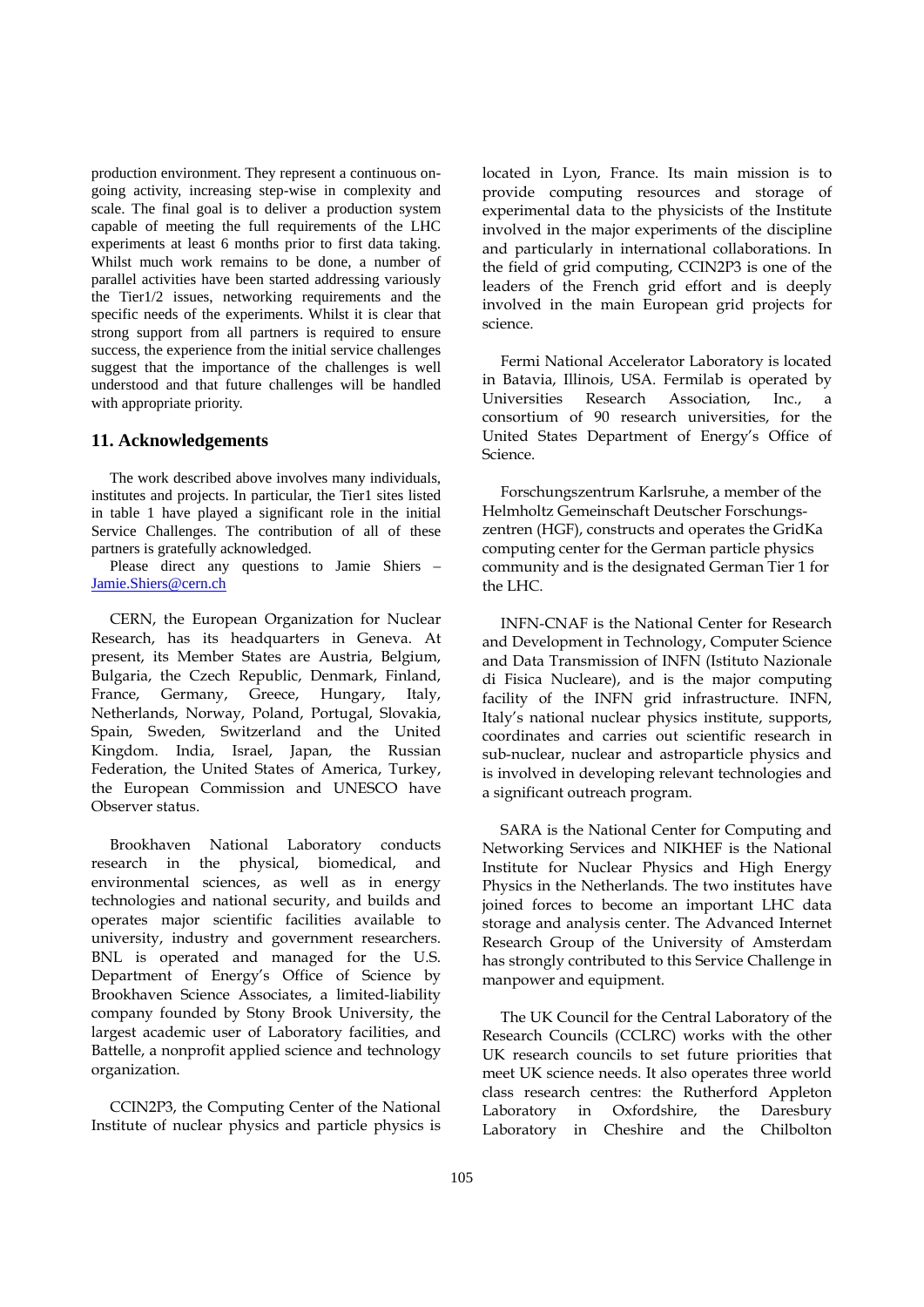production environment. They represent a continuous ongoing activity, increasing step-wise in complexity and scale. The final goal is to deliver a production system capable of meeting the full requirements of the LHC experiments at least 6 months prior to first data taking. Whilst much work remains to be done, a number of parallel activities have been started addressing variously the Tier1/2 issues, networking requirements and the specific needs of the experiments. Whilst it is clear that strong support from all partners is required to ensure success, the experience from the initial service challenges suggest that the importance of the challenges is well understood and that future challenges will be handled with appropriate priority.

#### **11. Acknowledgements**

The work described above involves many individuals, institutes and projects. In particular, the Tier1 sites listed in table 1 have played a significant role in the initial Service Challenges. The contribution of all of these partners is gratefully acknowledged.

Please direct any questions to Jamie Shiers – Jamie.Shiers@cern.ch

CERN, the European Organization for Nuclear Research, has its headquarters in Geneva. At present, its Member States are Austria, Belgium, Bulgaria, the Czech Republic, Denmark, Finland, France, Germany, Greece, Hungary, Italy, Netherlands, Norway, Poland, Portugal, Slovakia, Spain, Sweden, Switzerland and the United Kingdom. India, Israel, Japan, the Russian Federation, the United States of America, Turkey, the European Commission and UNESCO have Observer status.

Brookhaven National Laboratory conducts research in the physical, biomedical, and environmental sciences, as well as in energy technologies and national security, and builds and operates major scientific facilities available to university, industry and government researchers. BNL is operated and managed for the U.S. Department of Energy's Office of Science by Brookhaven Science Associates, a limited-liability company founded by Stony Brook University, the largest academic user of Laboratory facilities, and Battelle, a nonprofit applied science and technology organization.

CCIN2P3, the Computing Center of the National Institute of nuclear physics and particle physics is located in Lyon, France. Its main mission is to provide computing resources and storage of experimental data to the physicists of the Institute involved in the major experiments of the discipline and particularly in international collaborations. In the field of grid computing, CCIN2P3 is one of the leaders of the French grid effort and is deeply involved in the main European grid projects for science.

Fermi National Accelerator Laboratory is located in Batavia, Illinois, USA. Fermilab is operated by Universities Research Association, Inc., a consortium of 90 research universities, for the United States Department of Energy's Office of Science.

Forschungszentrum Karlsruhe, a member of the Helmholtz Gemeinschaft Deutscher Forschungszentren (HGF), constructs and operates the GridKa computing center for the German particle physics community and is the designated German Tier 1 for the LHC.

INFN-CNAF is the National Center for Research and Development in Technology, Computer Science and Data Transmission of INFN (Istituto Nazionale di Fisica Nucleare), and is the major computing facility of the INFN grid infrastructure. INFN, Italy's national nuclear physics institute, supports, coordinates and carries out scientific research in sub-nuclear, nuclear and astroparticle physics and is involved in developing relevant technologies and a significant outreach program.

SARA is the National Center for Computing and Networking Services and NIKHEF is the National Institute for Nuclear Physics and High Energy Physics in the Netherlands. The two institutes have joined forces to become an important LHC data storage and analysis center. The Advanced Internet Research Group of the University of Amsterdam has strongly contributed to this Service Challenge in manpower and equipment.

The UK Council for the Central Laboratory of the Research Councils (CCLRC) works with the other UK research councils to set future priorities that meet UK science needs. It also operates three world class research centres: the Rutherford Appleton Laboratory in Oxfordshire, the Daresbury Laboratory in Cheshire and the Chilbolton